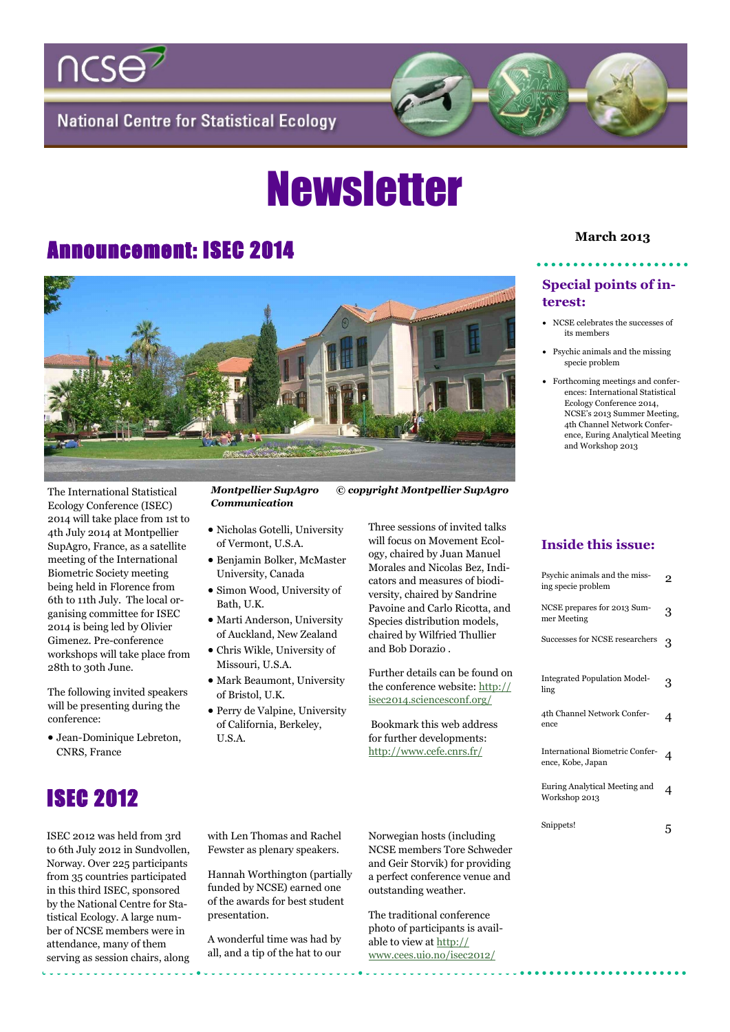

**National Centre for Statistical Ecology** 

# **Newsletter**

## **March 2013** Announcement: ISEC 2014



Ecology Conference (ISEC) 2014 will take place from 1st to 4th July 2014 at Montpellier SupAgro, France, as a satellite meeting of the International Biometric Society meeting being held in Florence from 6th to 11th July. The local organising committee for ISEC 2014 is being led by Olivier Gimenez. Pre-conference workshops will take place from 28th to 30th June.

The following invited speakers will be presenting during the conference:

 Jean-Dominique Lebreton, CNRS, France



- *Communication*
- Nicholas Gotelli, University of Vermont, U.S.A.
- Benjamin Bolker, McMaster University, Canada
- Simon Wood, University of Bath, U.K.
- Marti Anderson, University of Auckland, New Zealand
- Chris Wikle, University of Missouri, U.S.A.
- Mark Beaumont, University of Bristol, U.K.
- Perry de Valpine, University of California, Berkeley, U.S.A.

Three sessions of invited talks will focus on Movement Ecology, chaired by Juan Manuel Morales and Nicolas Bez, Indicators and measures of biodiversity, chaired by Sandrine Pavoine and Carlo Ricotta, and Species distribution models, chaired by Wilfried Thullier and Bob Dorazio .

Further details can be found on the conference website: [http://](http://isec2014.sciencesconf.org/) [isec2014.sciencesconf.org/](http://isec2014.sciencesconf.org/)

Bookmark this web address for further developments: [http://www.cefe.cnrs.fr/](http://www.cefe.cnrs.fr/isec2014/home)

#### **Special points of interest:**

- NCSE celebrates the successes of its members
- Psychic animals and the missing specie problem
- Forthcoming meetings and conferences: International Statistical Ecology Conference 2014, NCSE's 2013 Summer Meeting, 4th Channel Network Conference, Euring Analytical Meeting and Workshop 2013

#### **Inside this issue:**

| Psychic animals and the miss-<br>ing specie problem  |   |
|------------------------------------------------------|---|
| NCSE prepares for 2013 Sum-<br>mer Meeting           | 3 |
| Successes for NCSE researchers                       | 3 |
| Integrated Population Model-<br>ling                 | 3 |
| 4th Channel Network Confer-<br>ence                  | 4 |
| International Biometric Confer-<br>ence, Kobe, Japan |   |
| Euring Analytical Meeting and<br>Workshop 2013       | 4 |
| Snippets!                                            |   |

### ISEC 2012

ISEC 2012 was held from 3rd to 6th July 2012 in Sundvollen, Norway. Over 225 participants from 35 countries participated in this third ISEC, sponsored by the National Centre for Statistical Ecology. A large number of NCSE members were in attendance, many of them serving as session chairs, along with Len Thomas and Rachel Fewster as plenary speakers.

Hannah Worthington (partially funded by NCSE) earned one of the awards for best student presentation.

A wonderful time was had by all, and a tip of the hat to our Norwegian hosts (including NCSE members Tore Schweder and Geir Storvik) for providing a perfect conference venue and outstanding weather.

The traditional conference photo of participants is available to view at [http://](http://www.cees.uio.no/isec2012/) [www.cees.uio.no/isec2012/](http://www.cees.uio.no/isec2012/)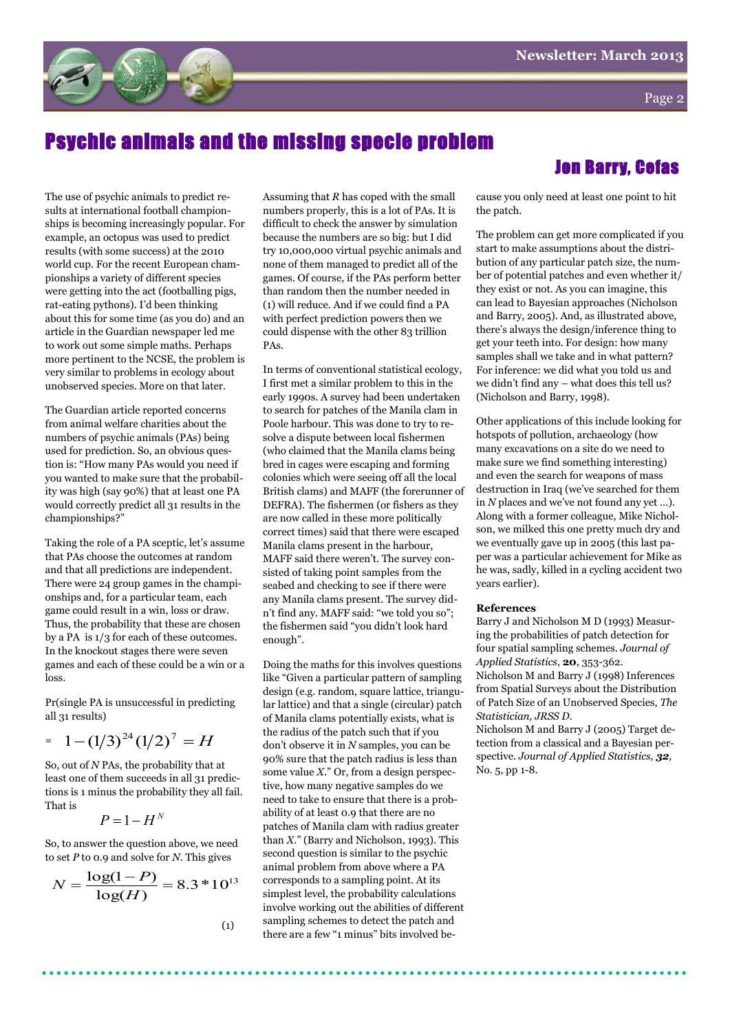

### Psychic animals and the missing specie problem

The use of psychic animals to predict results at international football championships is becoming increasingly popular. For example, an octopus was used to predict results (with some success) at the 2010 world cup. For the recent European championships a variety of different species were getting into the act (footballing pigs, rat-eating pythons). I'd been thinking about this for some time (as you do) and an article in the Guardian newspaper led me to work out some simple maths. Perhaps more pertinent to the NCSE, the problem is very similar to problems in ecology about unobserved species. More on that later.

The Guardian article reported concerns from animal welfare charities about the numbers of psychic animals (PAs) being used for prediction. So, an obvious question is: "How many PAs would you need if you wanted to make sure that the probability was high (say 90%) that at least one PA would correctly predict all 31 results in the championships?"

Taking the role of a PA sceptic, let's assume that PAs choose the outcomes at random and that all predictions are independent. There were 24 group games in the championships and, for a particular team, each game could result in a win, loss or draw. Thus, the probability that these are chosen by a PA is 1/3 for each of these outcomes. In the knockout stages there were seven games and each of these could be a win or a loss.

Pr(single PA is unsuccessful in predicting all 31 results)

$$
= 1 - (1/3)^{24} (1/2)^7 = H
$$

So, out of *N* PAs, the probability that at least one of them succeeds in all 31 predictions is 1 minus the probability they all fail. That is

$$
P=1-H^N
$$

So, to answer the question above, we need to set *P* to 0.9 and solve for *N*. This gives

$$
N = \frac{\log(1 - P)}{\log(H)} = 8.3 * 10^{13}
$$

(1)

Assuming that *R* has coped with the small numbers properly, this is a lot of PAs. It is difficult to check the answer by simulation because the numbers are so big: but I did try 10,000,000 virtual psychic animals and none of them managed to predict all of the games. Of course, if the PAs perform better than random then the number needed in (1) will reduce. And if we could find a PA with perfect prediction powers then we could dispense with the other 83 trillion PAs.

In terms of conventional statistical ecology, I first met a similar problem to this in the early 1990s. A survey had been undertaken to search for patches of the Manila clam in Poole harbour. This was done to try to resolve a dispute between local fishermen (who claimed that the Manila clams being bred in cages were escaping and forming colonies which were seeing off all the local British clams) and MAFF (the forerunner of DEFRA). The fishermen (or fishers as they are now called in these more politically correct times) said that there were escaped Manila clams present in the harbour, MAFF said there weren't. The survey consisted of taking point samples from the seabed and checking to see if there were any Manila clams present. The survey didn't find any. MAFF said: "we told you so": the fishermen said "you didn't look hard enough".

Doing the maths for this involves questions like "Given a particular pattern of sampling" design (e.g. random, square lattice, triangular lattice) and that a single (circular) patch of Manila clams potentially exists, what is the radius of the patch such that if you don't observe it in *N* samples, you can be 90% sure that the patch radius is less than some value  $X$ ." Or, from a design perspective, how many negative samples do we need to take to ensure that there is a probability of at least 0.9 that there are no patches of Manila clam with radius greater than *X*.‖ (Barry and Nicholson, 1993). This second question is similar to the psychic animal problem from above where a PA corresponds to a sampling point. At its simplest level, the probability calculations involve working out the abilities of different sampling schemes to detect the patch and there are a few "1 minus" bits involved be-

#### Jon Barry, Cefas

cause you only need at least one point to hit the patch.

The problem can get more complicated if you start to make assumptions about the distribution of any particular patch size, the number of potential patches and even whether it/ they exist or not. As you can imagine, this can lead to Bayesian approaches (Nicholson and Barry, 2005). And, as illustrated above, there's always the design/inference thing to get your teeth into. For design: how many samples shall we take and in what pattern? For inference: we did what you told us and we didn't find any – what does this tell us? (Nicholson and Barry, 1998).

Other applications of this include looking for hotspots of pollution, archaeology (how many excavations on a site do we need to make sure we find something interesting) and even the search for weapons of mass destruction in Iraq (we've searched for them in *N* places and we've not found any yet …). Along with a former colleague, Mike Nicholson, we milked this one pretty much dry and we eventually gave up in 2005 (this last paper was a particular achievement for Mike as he was, sadly, killed in a cycling accident two years earlier).

#### **References**

Barry J and Nicholson M D (1993) Measuring the probabilities of patch detection for four spatial sampling schemes. *Journal of Applied Statistics*, **20**, 353-362.

Nicholson M and Barry J (1998) Inferences from Spatial Surveys about the Distribution of Patch Size of an Unobserved Species, *The Statistician, JRSS D*.

Nicholson M and Barry J (2005) Target detection from a classical and a Bayesian perspective. *Journal of Applied Statistics, 32,*  No. 5, pp 1-8.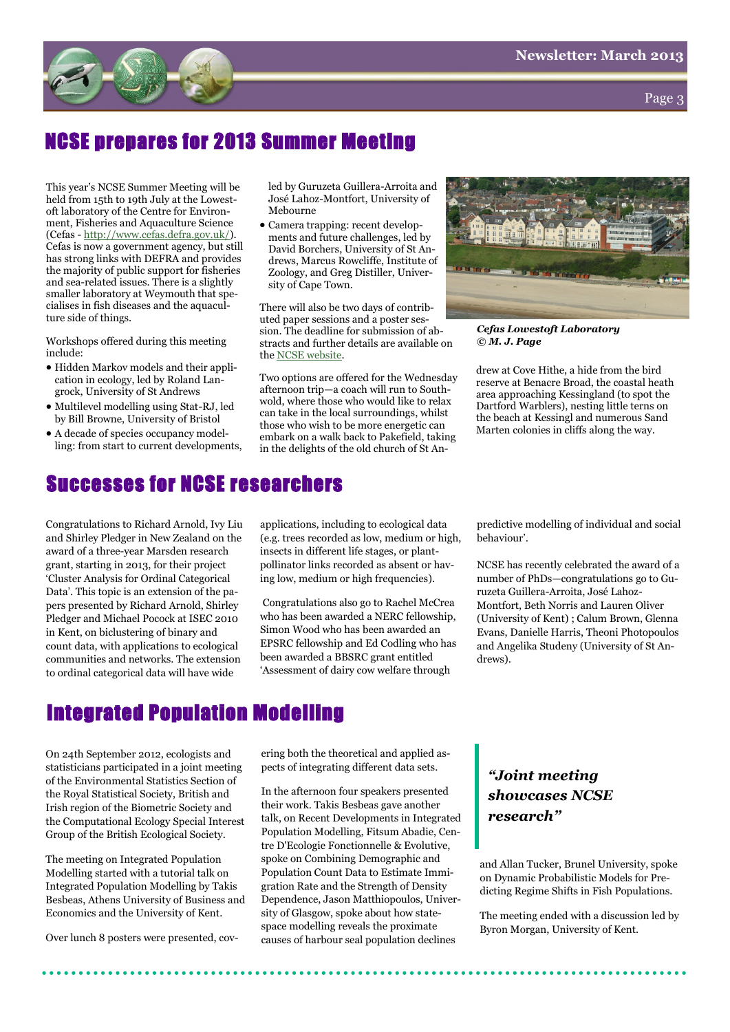

Page 3

### NCSE prepares for 2013 Summer Meeting

This year's NCSE Summer Meeting will be held from 15th to 19th July at the Lowestoft laboratory of the Centre for Environment, Fisheries and Aquaculture Science (Cefas - [http://www.cefas.defra.gov.uk/\).](http://www.cefas.defra.gov.uk/) Cefas is now a government agency, but still has strong links with DEFRA and provides the majority of public support for fisheries and sea-related issues. There is a slightly smaller laboratory at Weymouth that specialises in fish diseases and the aquaculture side of things.

Workshops offered during this meeting include:

- Hidden Markov models and their application in ecology, led by Roland Langrock, University of St Andrews
- Multilevel modelling using Stat-RJ, led by Bill Browne, University of Bristol
- A decade of species occupancy modelling: from start to current developments,

led by Guruzeta Guillera-Arroita and José Lahoz-Montfort, University of Mebourne

 Camera trapping: recent developments and future challenges, led by David Borchers, University of St Andrews, Marcus Rowcliffe, Institute of Zoology, and Greg Distiller, University of Cape Town.

There will also be two days of contributed paper sessions and a poster session. The deadline for submission of abstracts and further details are available on the [NCSE website.](http://www.ncse.org.uk/newsItem.aspx?ni=1272)

Two options are offered for the Wednesday afternoon trip—a coach will run to Southwold, where those who would like to relax can take in the local surroundings, whilst those who wish to be more energetic can embark on a walk back to Pakefield, taking in the delights of the old church of St An-



*Cefas Lowestoft Laboratory © M. J. Page*

drew at Cove Hithe, a hide from the bird reserve at Benacre Broad, the coastal heath area approaching Kessingland (to spot the Dartford Warblers), nesting little terns on the beach at Kessingl and numerous Sand Marten colonies in cliffs along the way.

### Successes for NCSE researchers

Congratulations to Richard Arnold, Ivy Liu and Shirley Pledger in New Zealand on the award of a three-year Marsden research grant, starting in 2013, for their project ‗Cluster Analysis for Ordinal Categorical Data'. This topic is an extension of the papers presented by Richard Arnold, Shirley Pledger and Michael Pocock at ISEC 2010 in Kent, on biclustering of binary and count data, with applications to ecological communities and networks. The extension to ordinal categorical data will have wide

applications, including to ecological data (e.g. trees recorded as low, medium or high, insects in different life stages, or plantpollinator links recorded as absent or having low, medium or high frequencies).

Congratulations also go to Rachel McCrea who has been awarded a NERC fellowship, Simon Wood who has been awarded an EPSRC fellowship and Ed Codling who has been awarded a BBSRC grant entitled ‗Assessment of dairy cow welfare through

predictive modelling of individual and social behaviour'.

NCSE has recently celebrated the award of a number of PhDs—congratulations go to Guruzeta Guillera-Arroita, José Lahoz-Montfort, Beth Norris and Lauren Oliver (University of Kent) ; Calum Brown, Glenna Evans, Danielle Harris, Theoni Photopoulos and Angelika Studeny (University of St Andrews).

### Integrated Population Modelling

On 24th September 2012, ecologists and statisticians participated in a joint meeting of the Environmental Statistics Section of the Royal Statistical Society, British and Irish region of the Biometric Society and the Computational Ecology Special Interest Group of the British Ecological Society.

The meeting on Integrated Population Modelling started with a tutorial talk on Integrated Population Modelling by Takis Besbeas, Athens University of Business and Economics and the University of Kent.

Over lunch 8 posters were presented, cov-

ering both the theoretical and applied aspects of integrating different data sets.

In the afternoon four speakers presented their work. Takis Besbeas gave another talk, on Recent Developments in Integrated Population Modelling, Fitsum Abadie, Centre D'Ecologie Fonctionnelle & Evolutive, spoke on Combining Demographic and Population Count Data to Estimate Immigration Rate and the Strength of Density Dependence, Jason Matthiopoulos, University of Glasgow, spoke about how statespace modelling reveals the proximate causes of harbour seal population declines

#### *"Joint meeting showcases NCSE research"*

and Allan Tucker, Brunel University, spoke on Dynamic Probabilistic Models for Predicting Regime Shifts in Fish Populations.

The meeting ended with a discussion led by Byron Morgan, University of Kent.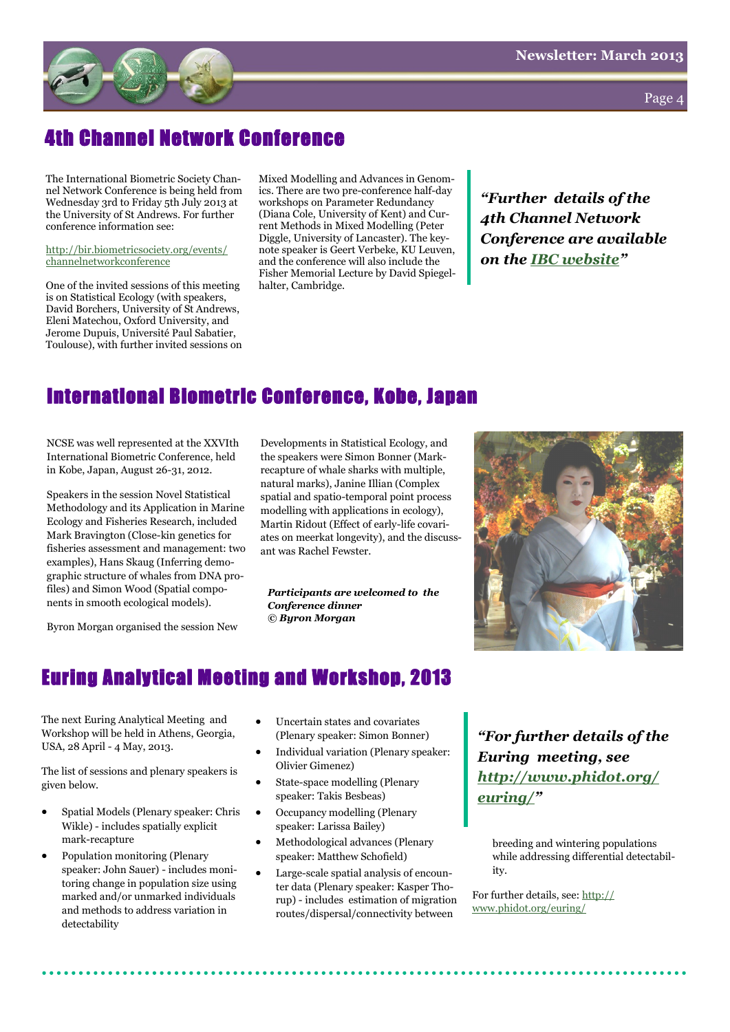

Page  $\angle$ 

### 4th Channel Network Conference

The International Biometric Society Channel Network Conference is being held from Wednesday 3rd to Friday 5th July 2013 at the University of St Andrews. For further conference information see:

[http://bir.biometricsociety.org/events/](http://bir.biometricsociety.org/events/channelnetworkconference) [channelnetworkconference](http://bir.biometricsociety.org/events/channelnetworkconference)

One of the invited sessions of this meeting is on Statistical Ecology (with speakers, David Borchers, University of St Andrews, Eleni Matechou, Oxford University, and Jerome Dupuis, Université Paul Sabatier, Toulouse), with further invited sessions on Mixed Modelling and Advances in Genomics. There are two pre-conference half-day workshops on Parameter Redundancy (Diana Cole, University of Kent) and Current Methods in Mixed Modelling (Peter Diggle, University of Lancaster). The keynote speaker is Geert Verbeke, KU Leuven, and the conference will also include the Fisher Memorial Lecture by David Spiegelhalter, Cambridge.

*"Further details of the 4th Channel Network Conference are available on the [IBC website](http://bir.biometricsociety.org/events/channelnetworkconference)"*

#### International Biometric Conference, Kobe, Japan

NCSE was well represented at the XXVIth International Biometric Conference, held in Kobe, Japan, August 26-31, 2012.

Speakers in the session Novel Statistical Methodology and its Application in Marine Ecology and Fisheries Research, included Mark Bravington (Close-kin genetics for fisheries assessment and management: two examples), Hans Skaug (Inferring demographic structure of whales from DNA profiles) and Simon Wood (Spatial components in smooth ecological models).

Byron Morgan organised the session New

Developments in Statistical Ecology, and the speakers were Simon Bonner (Markrecapture of whale sharks with multiple, natural marks), Janine Illian (Complex spatial and spatio-temporal point process modelling with applications in ecology), Martin Ridout (Effect of early-life covariates on meerkat longevity), and the discussant was Rachel Fewster.

*Participants are welcomed to the Conference dinner © Byron Morgan*



#### Euring Analytical Meeting and Workshop, 2013

The next Euring Analytical Meeting and Workshop will be held in Athens, Georgia, USA, 28 April - 4 May, 2013.

The list of sessions and plenary speakers is given below.

- Spatial Models (Plenary speaker: Chris Wikle) - includes spatially explicit mark-recapture
- Population monitoring (Plenary speaker: John Sauer) - includes monitoring change in population size using marked and/or unmarked individuals and methods to address variation in detectability
- Uncertain states and covariates (Plenary speaker: Simon Bonner)
- Individual variation (Plenary speaker: Olivier Gimenez)
- State-space modelling (Plenary speaker: Takis Besbeas)
- Occupancy modelling (Plenary speaker: Larissa Bailey)
- Methodological advances (Plenary speaker: Matthew Schofield)
- Large-scale spatial analysis of encounter data (Plenary speaker: Kasper Thorup) - includes estimation of migration routes/dispersal/connectivity between

*"For further details of the Euring meeting, see [http://www.phidot.org/](http://www.phidot.org/euring/) [euring/](http://www.phidot.org/euring/)"*

breeding and wintering populations while addressing differential detectability.

For further details, see: [http://](http://www.phidot.org/euring/) [www.phidot.org/euring/](http://www.phidot.org/euring/)